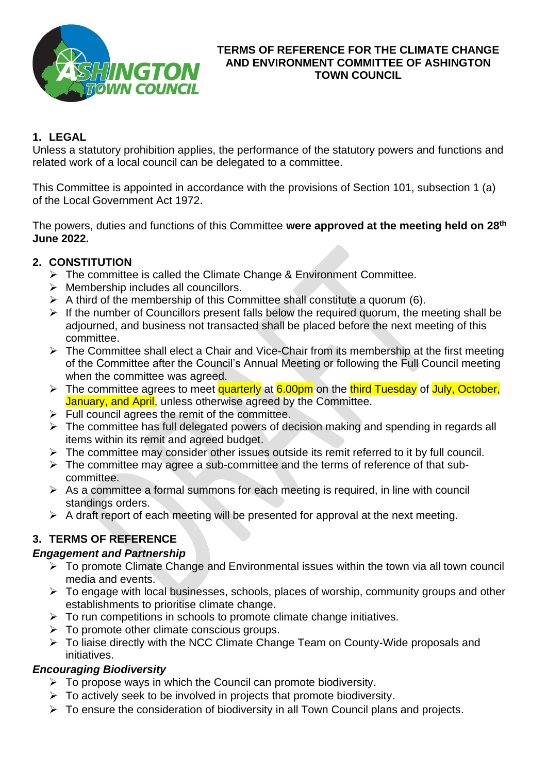

#### **TERMS OF REFERENCE FOR THE CLIMATE CHANGE AND ENVIRONMENT COMMITTEE OF ASHINGTON TOWN COUNCIL**

### **1. LEGAL**

Unless a statutory prohibition applies, the performance of the statutory powers and functions and related work of a local council can be delegated to a committee.

This Committee is appointed in accordance with the provisions of Section 101, subsection 1 (a) of the Local Government Act 1972.

The powers, duties and functions of this Committee **were approved at the meeting held on 28th June 2022.**

## **2. CONSTITUTION**

- ➢ The committee is called the Climate Change & Environment Committee.
- $\triangleright$  Membership includes all councillors.
- $\triangleright$  A third of the membership of this Committee shall constitute a quorum (6).
- ➢ If the number of Councillors present falls below the required quorum, the meeting shall be adjourned, and business not transacted shall be placed before the next meeting of this committee.
- ➢ The Committee shall elect a Chair and Vice-Chair from its membership at the first meeting of the Committee after the Council's Annual Meeting or following the Full Council meeting when the committee was agreed.
- ➢ The committee agrees to meet quarterly at 6.00pm on the third Tuesday of July, October, January, and April, unless otherwise agreed by the Committee.
- $\triangleright$  Full council agrees the remit of the committee.
- ➢ The committee has full delegated powers of decision making and spending in regards all items within its remit and agreed budget.
- $\triangleright$  The committee may consider other issues outside its remit referred to it by full council.
- ➢ The committee may agree a sub-committee and the terms of reference of that subcommittee.
- $\triangleright$  As a committee a formal summons for each meeting is required, in line with council standings orders.
- $\triangleright$  A draft report of each meeting will be presented for approval at the next meeting.

# **3. TERMS OF REFERENCE**

### *Engagement and Partnership*

- ➢ To promote Climate Change and Environmental issues within the town via all town council media and events.
- ➢ To engage with local businesses, schools, places of worship, community groups and other establishments to prioritise climate change.
- $\triangleright$  To run competitions in schools to promote climate change initiatives.
- $\triangleright$  To promote other climate conscious groups.
- ➢ To liaise directly with the NCC Climate Change Team on County-Wide proposals and initiatives.

# *Encouraging Biodiversity*

- ➢ To propose ways in which the Council can promote biodiversity.
- $\triangleright$  To actively seek to be involved in projects that promote biodiversity.
- ➢ To ensure the consideration of biodiversity in all Town Council plans and projects.